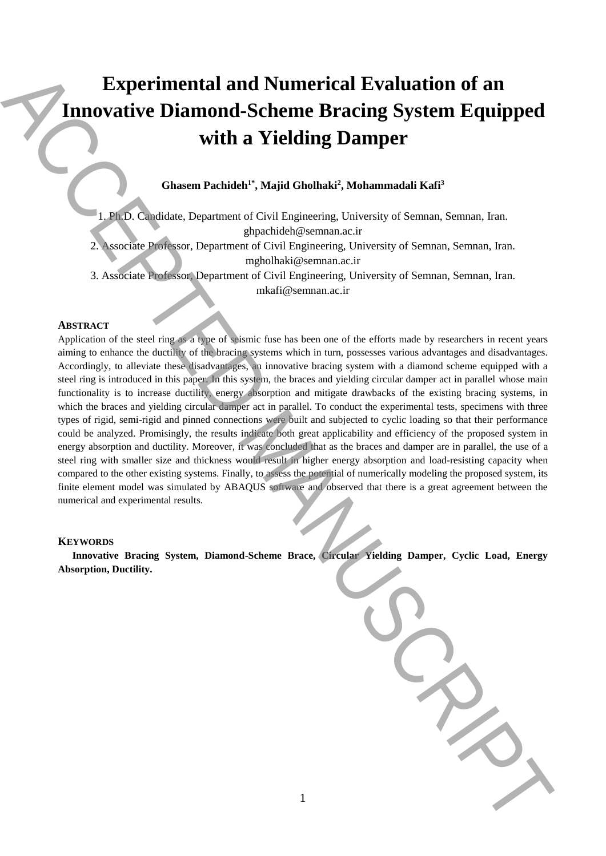# **Experimental and Numerical Evaluation of an Innovative Diamond-Scheme Bracing System Equipped with a Yielding Damper**

# **Ghasem Pachideh1\* , Majid Gholhaki<sup>2</sup> , Mohammadali Kafi<sup>3</sup>**

1. Ph.D. Candidate, Department of Civil Engineering, University of Semnan, Semnan, Iran. ghpachideh@semnan.ac.ir

2. Associate Professor, Department of Civil Engineering, University of Semnan, Semnan, Iran. mgholhaki@semnan.ac.ir

3. Associate Professor, Department of Civil Engineering, University of Semnan, Semnan, Iran. mkafi@semnan.ac.ir

#### **ABSTRACT**

Application of the steel ring as a type of seismic fuse has been one of the efforts made by researchers in recent years aiming to enhance the ductility of the bracing systems which in turn, possesses various advantages and disadvantages. Accordingly, to alleviate these disadvantages, an innovative bracing system with a diamond scheme equipped with a steel ring is introduced in this paper. In this system, the braces and yielding circular damper act in parallel whose main functionality is to increase ductility, energy absorption and mitigate drawbacks of the existing bracing systems, in which the braces and yielding circular damper act in parallel. To conduct the experimental tests, specimens with three types of rigid, semi-rigid and pinned connections were built and subjected to cyclic loading so that their performance could be analyzed. Promisingly, the results indicate both great applicability and efficiency of the proposed system in energy absorption and ductility. Moreover, it was concluded that as the braces and damper are in parallel, the use of a steel ring with smaller size and thickness would result in higher energy absorption and load-resisting capacity when compared to the other existing systems. Finally, to assess the potential of numerically modeling the proposed system, its finite element model was simulated by ABAQUS software and observed that there is a great agreement between the numerical and experimental results. **Experimental and Numerical Evaluation of an**<br> **Absorption Diamond-Scheme Bracing System Equipped**<br>
with a Yielding Damper<br>
chusen Packake<sup>12</sup>: Majd Ghahadé', Majd Ghahadé', Mahammadai Kafé<br> **Absorption (Accepted Manuscrip** 

#### **KEYWORDS**

**Innovative Bracing System, Diamond-Scheme Brace, Circular Yielding Damper, Cyclic Load, Energy**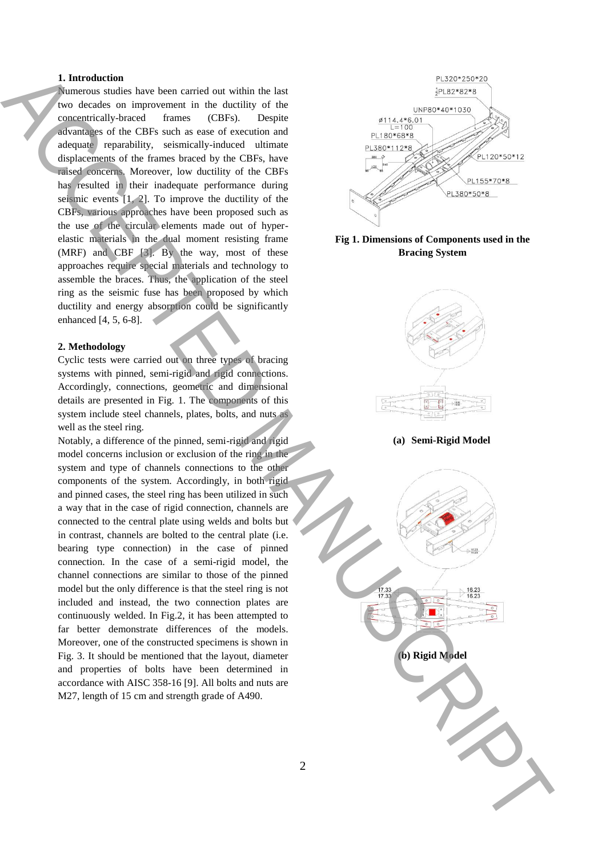#### **1. Introduction**

Numerous studies have been carried out within the last two decades on improvement in the ductility of the concentrically-braced frames (CBFs). Despite advantages of the CBFs such as ease of execution and adequate reparability, seismically-induced ultimate displacements of the frames braced by the CBFs, have raised concerns. Moreover, low ductility of the CBFs has resulted in their inadequate performance during seismic events [1, 2]. To improve the ductility of the CBFs, various approaches have been proposed such as the use of the circular elements made out of hyperelastic materials in the dual moment resisting frame (MRF) and CBF [3]. By the way, most of these approaches require special materials and technology to assemble the braces. Thus, the application of the steel ring as the seismic fuse has been proposed by which ductility and energy absorption could be significantly enhanced [4, 5, 6-8].

#### **2. Methodology**

Cyclic tests were carried out on three types of bracing systems with pinned, semi-rigid and rigid connections. Accordingly, connections, geometric and dimensional details are presented in Fig. 1. The components of this system include steel channels, plates, bolts, and nuts as well as the steel ring.

Notably, a difference of the pinned, semi-rigid and rigid model concerns inclusion or exclusion of the ring in the system and type of channels connections to the other components of the system. Accordingly, in both rigid and pinned cases, the steel ring has been utilized in such a way that in the case of rigid connection, channels are connected to the central plate using welds and bolts but in contrast, channels are bolted to the central plate (i.e. bearing type connection) in the case of pinned connection. In the case of a semi-rigid model, the channel connections are similar to those of the pinned model but the only difference is that the steel ring is not included and instead, the two connection plates are continuously welded. In Fig.2, it has been attempted to far better demonstrate differences of the models. Moreover, one of the constructed specimens is shown in Fig. 3. It should be mentioned that the layout, diameter and properties of bolts have been determined in accordance with AISC 358-16 [9]. All bolts and nuts are M27, length of 15 cm and strength grade of A490.



**Fig 1. Dimensions of Components used in the Bracing System**

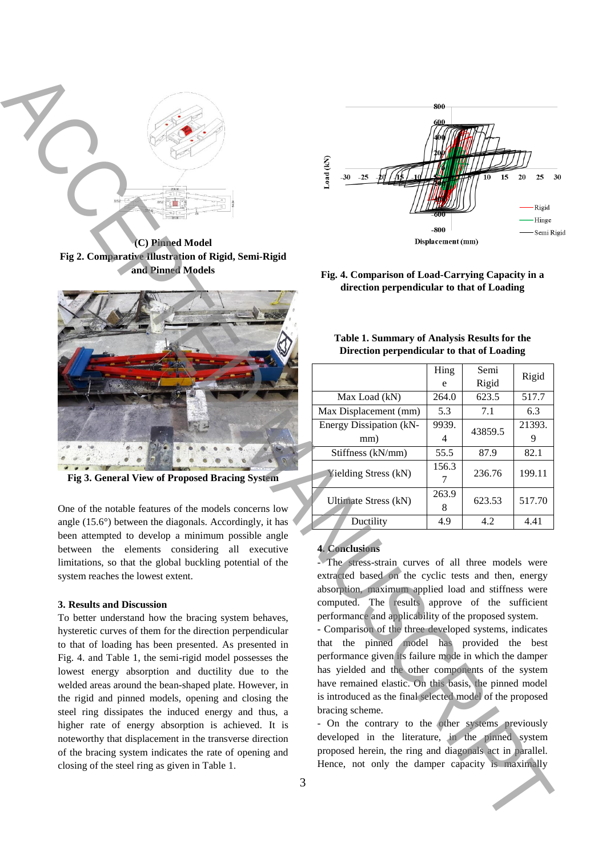

**(C) Pinned Model Fig 2. Comparative Illustration of Rigid, Semi-Rigid and Pinned Models**



**Fig 3. General View of Proposed Bracing System**

One of the notable features of the models concerns low angle (15.6°) between the diagonals. Accordingly, it has been attempted to develop a minimum possible angle between the elements considering all executive limitations, so that the global buckling potential of the system reaches the lowest extent.

## **3. Results and Discussion**

To better understand how the bracing system behaves, hysteretic curves of them for the direction perpendicular to that of loading has been presented. As presented in Fig. 4. and Table 1, the semi-rigid model possesses the lowest energy absorption and ductility due to the welded areas around the bean-shaped plate. However, in the rigid and pinned models, opening and closing the steel ring dissipates the induced energy and thus, a higher rate of energy absorption is achieved. It is noteworthy that displacement in the transverse direction of the bracing system indicates the rate of opening and closing of the steel ring as given in Table 1.



**Fig. 4. Comparison of Load-Carrying Capacity in a direction perpendicular to that of Loading**

| Table 1. Summary of Analysis Results for the |  |
|----------------------------------------------|--|
| Direction perpendicular to that of Loading   |  |

|                             | Hing       | Semi    |        |
|-----------------------------|------------|---------|--------|
|                             | e          | Rigid   | Rigid  |
| Max Load (kN)               | 264.0      | 623.5   | 517.7  |
| Max Displacement (mm)       | 5.3        | 7.1     | 6.3    |
| Energy Dissipation (kN-     | 9939.      | 43859.5 | 21393. |
| mm)                         | 4          |         |        |
| Stiffness (kN/mm)           | 55.5       | 87.9    | 82.1   |
| <b>Yielding Stress (kN)</b> | 156.3      | 236.76  | 199.11 |
| <b>Ultimate Stress (kN)</b> | 263.9<br>8 | 623.53  | 517.70 |
| Ductility                   | 4.9        | 4.2     | 4.41   |

## **4. Conclusions**

- The stress-strain curves of all three models were extracted based on the cyclic tests and then, energy absorption, maximum applied load and stiffness were computed. The results approve of the sufficient performance and applicability of the proposed system.

- Comparison of the three developed systems, indicates that the pinned model has provided the best performance given its failure mode in which the damper has yielded and the other components of the system have remained elastic. On this basis, the pinned model is introduced as the final selected model of the proposed bracing scheme.

- On the contrary to the other systems previously developed in the literature, in the pinned system proposed herein, the ring and diagonals act in parallel.